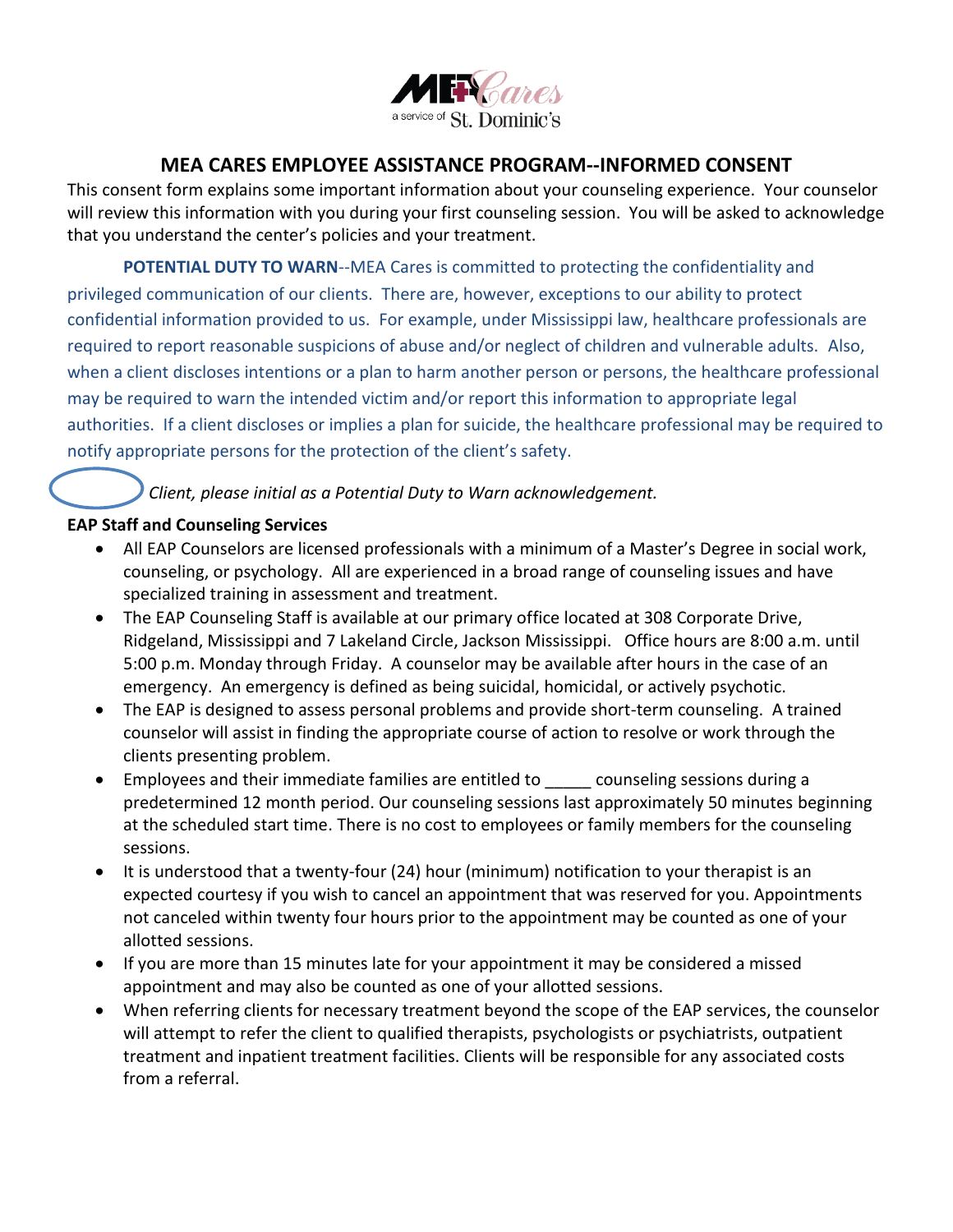

## **MEA CARES EMPLOYEE ASSISTANCE PROGRAM--INFORMED CONSENT**

This consent form explains some important information about your counseling experience. Your counselor will review this information with you during your first counseling session. You will be asked to acknowledge that you understand the center's policies and your treatment.

**POTENTIAL DUTY TO WARN**--MEA Cares is committed to protecting the confidentiality and privileged communication of our clients. There are, however, exceptions to our ability to protect confidential information provided to us. For example, under Mississippi law, healthcare professionals are required to report reasonable suspicions of abuse and/or neglect of children and vulnerable adults. Also, when a client discloses intentions or a plan to harm another person or persons, the healthcare professional may be required to warn the intended victim and/or report this information to appropriate legal authorities. If a client discloses or implies a plan for suicide, the healthcare professional may be required to notify appropriate persons for the protection of the client's safety.

# *Client, please initial as a Potential Duty to Warn acknowledgement.*

#### **EAP Staff and Counseling Services**

- All EAP Counselors are licensed professionals with a minimum of a Master's Degree in social work, counseling, or psychology. All are experienced in a broad range of counseling issues and have specialized training in assessment and treatment.
- The EAP Counseling Staff is available at our primary office located at 308 Corporate Drive, Ridgeland, Mississippi and 7 Lakeland Circle, Jackson Mississippi. Office hours are 8:00 a.m. until 5:00 p.m. Monday through Friday. A counselor may be available after hours in the case of an emergency. An emergency is defined as being suicidal, homicidal, or actively psychotic.
- The EAP is designed to assess personal problems and provide short-term counseling. A trained counselor will assist in finding the appropriate course of action to resolve or work through the clients presenting problem.
- Employees and their immediate families are entitled to \_\_\_\_\_ counseling sessions during a predetermined 12 month period. Our counseling sessions last approximately 50 minutes beginning at the scheduled start time. There is no cost to employees or family members for the counseling sessions.
- It is understood that a twenty-four (24) hour (minimum) notification to your therapist is an expected courtesy if you wish to cancel an appointment that was reserved for you. Appointments not canceled within twenty four hours prior to the appointment may be counted as one of your allotted sessions.
- If you are more than 15 minutes late for your appointment it may be considered a missed appointment and may also be counted as one of your allotted sessions.
- When referring clients for necessary treatment beyond the scope of the EAP services, the counselor will attempt to refer the client to qualified therapists, psychologists or psychiatrists, outpatient treatment and inpatient treatment facilities. Clients will be responsible for any associated costs from a referral.